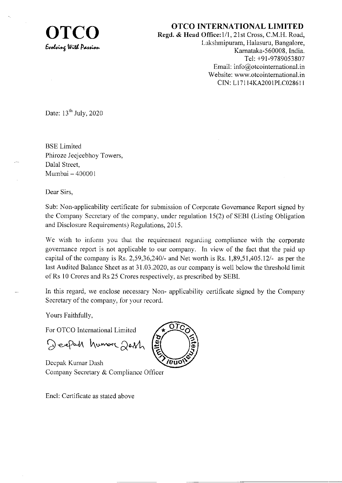

OTCO INTERNATIONAL LIMITED<br>Regd. & Head Office:1/1, 21st Cross, C.M.H. Road,<br>Lakehminuten, Helseum, Bengelero [-akshmipuram, Halasuru, Bangalore, Karnataka-560008. India. Tel: +91-9789053807 Email: info@otcointernational.in Website: www.otcointernational.in CIN: Ll 71 l4KA2001PLC0286l I

Date:  $13<sup>th</sup>$  July, 2020

**BSE** Limited Phiroze Jeejeebhoy Towers, Dalal Street, Mumbai - <sup>400001</sup>

Dear Sirs,

Sub: Non-applicability certificate for submission of Corporate Govemance Report signed by the Company Secretary of the company, under regulation 15(2) of SEBI (Listing Obligation and Disclosure Requirements) Regulations, 2015.

We wish to inform you that the requirement regarding compliance with the corporate governance report is not applicable to our company. In view of the fact that the paid up capital of the company is Rs.  $2,59,36,240/4$  and Net worth is Rs.  $1,89,51,405.12/4$  as per the last Audited Balance Sheet as at 31.03.2020, as our company is well below the threshold limit ofRs l0 Crores and Rs 25 Crores respectively, as prescribed by SEBI.

In this regard, we enclose necessary Non- applicability certificate signed by the Company Secretary of the company, for vour record.

Yours Faithfully,

For OTCO International Limited

Deepah humore 2011

Decpak Kumar Dash Company Secretary & Compliance Officer

Encl: Certificate as stated above